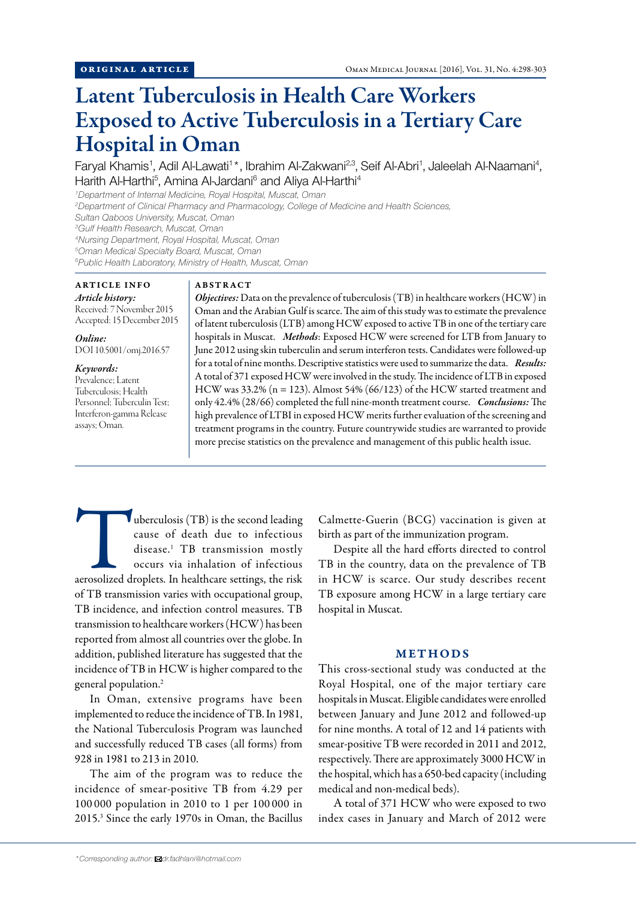# Latent Tuberculosis in Health Care Workers Exposed to Active Tuberculosis in a Tertiary Care Hospital in Oman

Faryal Khamis<sup>1</sup>, Adil Al-Lawati<sup>1\*</sup>, Ibrahim Al-Zakwani<sup>2,3</sup>, Seif Al-Abri<sup>1</sup>, Jaleelah Al-Naamani<sup>4</sup>, Harith Al-Harthi<sup>5</sup>, Amina Al-Jardani<sup>6</sup> and Aliya Al-Harthi<sup>4</sup>

*1 Department of Internal Medicine, Royal Hospital, Muscat, Oman*

*2 Department of Clinical Pharmacy and Pharmacology, College of Medicine and Health Sciences, Sultan Qaboos University, Muscat, Oman*

*3 Gulf Health Research, Muscat, Oman*

*4 Nursing Department, Royal Hospital, Muscat, Oman*

*5 Oman Medical Specialty Board, Muscat, Oman*

*6 Public Health Laboratory, Ministry of Health, Muscat, Oman*

# ARTICLE INFO *Article history:*

Received: 7 November 2015 Accepted: 15 December 2015

*Online:* DOI 10.5001/omj.2016.57

# *Keywords:*

Prevalence; Latent Tuberculosis; Health Personnel; Tuberculin Test; Interferon-gamma Release assays; Oman.

#### ABSTRACT

*Objectives:* Data on the prevalence of tuberculosis (TB) in healthcare workers (HCW) in Oman and the Arabian Gulf is scarce. The aim of this study was to estimate the prevalence of latent tuberculosis (LTB) among HCW exposed to active TB in one of the tertiary care hospitals in Muscat. *Methods*: Exposed HCW were screened for LTB from January to June 2012 using skin tuberculin and serum interferon tests. Candidates were followed-up for a total of nine months. Descriptive statistics were used to summarize the data. *Results:* A total of 371 exposed HCW were involved in the study. The incidence of LTB in exposed HCW was  $33.2\%$  (n = 123). Almost 54% (66/123) of the HCW started treatment and only 42.4% (28/66) completed the full nine-month treatment course. *Conclusions:* The high prevalence of LTBI in exposed HCW merits further evaluation of the screening and treatment programs in the country. Future countrywide studies are warranted to provide more precise statistics on the prevalence and management of this public health issue.

uberculosis (TB) is the second leading<br>
cause of death due to infectious<br>
disease.<sup>1</sup> TB transmission mostly<br>
occurs via inhalation of infectious<br>
aerosolized droplets. In healthcare settings, the risk cause of death due to infectious disease.<sup>1</sup> TB transmission mostly occurs via inhalation of infectious of TB transmission varies with occupational group, TB incidence, and infection control measures. TB transmission to healthcare workers (HCW) has been reported from almost all countries over the globe. In addition, published literature has suggested that the incidence of TB in HCW is higher compared to the general population.<sup>2</sup>

In Oman, extensive programs have been implemented to reduce the incidence of TB. In 1981, the National Tuberculosis Program was launched and successfully reduced TB cases (all forms) from 928 in 1981 to 213 in 2010.

The aim of the program was to reduce the incidence of smear-positive TB from 4.29 per 100 000 population in 2010 to 1 per 100 000 in 2015.<sup>3</sup> Since the early 1970s in Oman, the Bacillus Calmette-Guerin (BCG) vaccination is given at birth as part of the immunization program.

Despite all the hard efforts directed to control TB in the country, data on the prevalence of TB in HCW is scarce. Our study describes recent TB exposure among HCW in a large tertiary care hospital in Muscat.

## METHODS

This cross-sectional study was conducted at the Royal Hospital, one of the major tertiary care hospitals in Muscat. Eligible candidates were enrolled between January and June 2012 and followed-up for nine months. A total of 12 and 14 patients with smear-positive TB were recorded in 2011 and 2012, respectively. There are approximately 3000 HCW in the hospital, which has a 650-bed capacity (including medical and non-medical beds).

A total of 371 HCW who were exposed to two index cases in January and March of 2012 were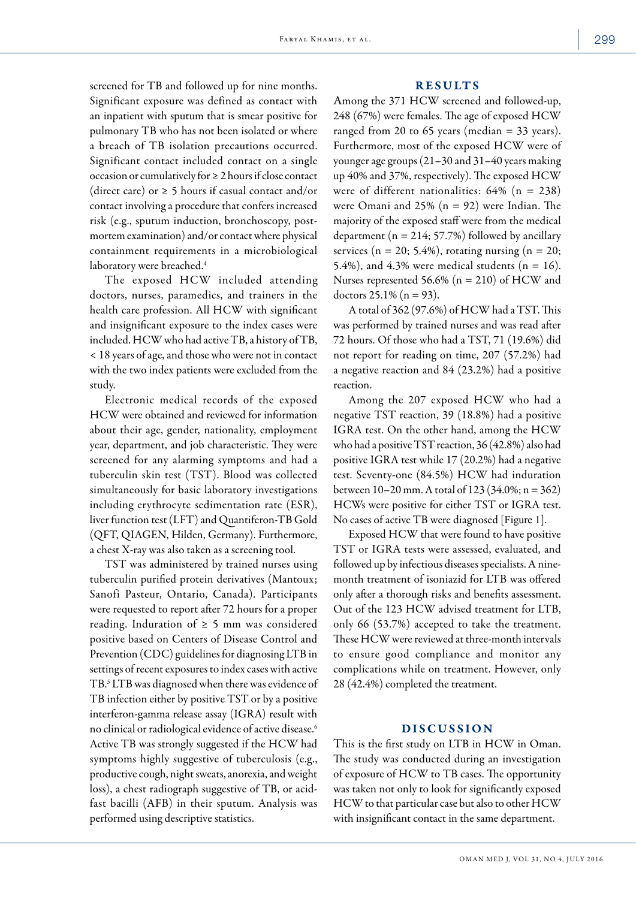screened for TB and followed up for nine months. Significant exposure was defined as contact with an inpatient with sputum that is smear positive for pulmonary TB who has not been isolated or where a breach of TB isolation precautions occurred. Significant contact included contact on a single occasion or cumulatively for ≥ 2 hours if close contact (direct care) or  $\geq$  5 hours if casual contact and/or contact involving a procedure that confers increased risk (e.g., sputum induction, bronchoscopy, postmortem examination) and/or contact where physical containment requirements in a microbiological laboratory were breached.<sup>4</sup>

The exposed HCW included attending doctors, nurses, paramedics, and trainers in the health care profession. All HCW with significant and insignificant exposure to the index cases were included. HCW who had active TB, a history of TB, < 18 years of age, and those who were not in contact with the two index patients were excluded from the study.

Electronic medical records of the exposed HCW were obtained and reviewed for information about their age, gender, nationality, employment year, department, and job characteristic. They were screened for any alarming symptoms and had a tuberculin skin test (TST). Blood was collected simultaneously for basic laboratory investigations including erythrocyte sedimentation rate (ESR), liver function test (LFT) and Quantiferon-TB Gold (QFT, QIAGEN, Hilden, Germany). Furthermore, a chest X-ray was also taken as a screening tool.

TST was administered by trained nurses using tuberculin purified protein derivatives (Mantoux; Sanofi Pasteur, Ontario, Canada). Participants were requested to report after 72 hours for a proper reading. Induration of ≥ 5 mm was considered positive based on Centers of Disease Control and Prevention (CDC) guidelines for diagnosing LTB in settings of recent exposures to index cases with active TB.<sup>5</sup> LTB was diagnosed when there was evidence of TB infection either by positive TST or by a positive interferon-gamma release assay (IGRA) result with no clinical or radiological evidence of active disease.<sup>6</sup> Active TB was strongly suggested if the HCW had symptoms highly suggestive of tuberculosis (e.g., productive cough, night sweats, anorexia, and weight loss), a chest radiograph suggestive of TB, or acidfast bacilli (AFB) in their sputum. Analysis was performed using descriptive statistics.

#### RESULTS

Among the 371 HCW screened and followed-up, 248 (67%) were females. The age of exposed HCW ranged from 20 to 65 years (median  $=$  33 years). Furthermore, most of the exposed HCW were of younger age groups (21–30 and 31–40 years making up 40% and 37%, respectively). The exposed HCW were of different nationalities:  $64\%$  (n = 238) were Omani and 25% ( $n = 92$ ) were Indian. The majority of the exposed staff were from the medical department ( $n = 214$ ; 57.7%) followed by ancillary services ( $n = 20$ ; 5.4%), rotating nursing ( $n = 20$ ; 5.4%), and 4.3% were medical students ( $n = 16$ ). Nurses represented 56.6% ( $n = 210$ ) of HCW and doctors  $25.1\%$  (n = 93).

A total of 362 (97.6%) of HCW had a TST. This was performed by trained nurses and was read after 72 hours. Of those who had a TST, 71 (19.6%) did not report for reading on time, 207 (57.2%) had a negative reaction and 84 (23.2%) had a positive reaction.

Among the 207 exposed HCW who had a negative TST reaction, 39 (18.8%) had a positive IGRA test. On the other hand, among the HCW who had a positive TST reaction, 36 (42.8%) also had positive IGRA test while 17 (20.2%) had a negative test. Seventy-one (84.5%) HCW had induration between  $10-20$  mm. A total of  $123$  (34.0%; n = 362) HCWs were positive for either TST or IGRA test. No cases of active TB were diagnosed [Figure 1].

Exposed HCW that were found to have positive TST or IGRA tests were assessed, evaluated, and followed up by infectious diseases specialists. A ninemonth treatment of isoniazid for LTB was offered only after a thorough risks and benefits assessment. Out of the 123 HCW advised treatment for LTB, only 66 (53.7%) accepted to take the treatment. These HCW were reviewed at three-month intervals to ensure good compliance and monitor any complications while on treatment. However, only 28 (42.4%) completed the treatment.

## DISCUSSION

This is the first study on LTB in HCW in Oman. The study was conducted during an investigation of exposure of HCW to TB cases. The opportunity was taken not only to look for significantly exposed HCW to that particular case but also to other HCW with insignificant contact in the same department.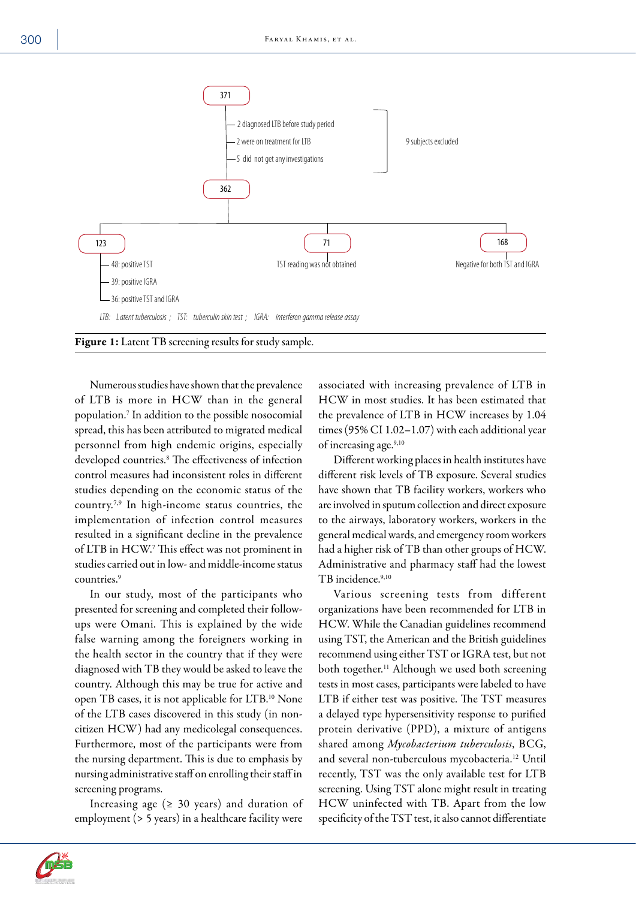

Numerous studies have shown that the prevalence of LTB is more in HCW than in the general population.<sup>7</sup> In addition to the possible nosocomial spread, this has been attributed to migrated medical personnel from high endemic origins, especially developed countries.<sup>8</sup> The effectiveness of infection control measures had inconsistent roles in different studies depending on the economic status of the country.7,9 In high-income status countries, the implementation of infection control measures resulted in a significant decline in the prevalence of LTB in HCW.<sup>7</sup> This effect was not prominent in studies carried out in low- and middle-income status countries.<sup>9</sup>

In our study, most of the participants who presented for screening and completed their followups were Omani. This is explained by the wide false warning among the foreigners working in the health sector in the country that if they were diagnosed with TB they would be asked to leave the country. Although this may be true for active and open TB cases, it is not applicable for LTB.10 None of the LTB cases discovered in this study (in noncitizen HCW) had any medicolegal consequences. Furthermore, most of the participants were from the nursing department. This is due to emphasis by nursing administrative staff on enrolling their staff in screening programs.

Increasing age ( $\geq$  30 years) and duration of employment (> 5 years) in a healthcare facility were associated with increasing prevalence of LTB in HCW in most studies. It has been estimated that the prevalence of LTB in HCW increases by 1.04 times (95% CI 1.02–1.07) with each additional year of increasing age.<sup>9,10</sup>

Different working places in health institutes have different risk levels of TB exposure. Several studies have shown that TB facility workers, workers who are involved in sputum collection and direct exposure to the airways, laboratory workers, workers in the general medical wards, and emergency room workers had a higher risk of TB than other groups of HCW. Administrative and pharmacy staff had the lowest TB incidence.9,10

Various screening tests from different organizations have been recommended for LTB in HCW. While the Canadian guidelines recommend using TST, the American and the British guidelines recommend using either TST or IGRA test, but not both together.<sup>11</sup> Although we used both screening tests in most cases, participants were labeled to have LTB if either test was positive. The TST measures a delayed type hypersensitivity response to purified protein derivative (PPD), a mixture of antigens shared among *Mycobacterium tuberculosis*, BCG, and several non-tuberculous mycobacteria.<sup>12</sup> Until recently, TST was the only available test for LTB screening. Using TST alone might result in treating HCW uninfected with TB. Apart from the low specificity of the TST test, it also cannot differentiate

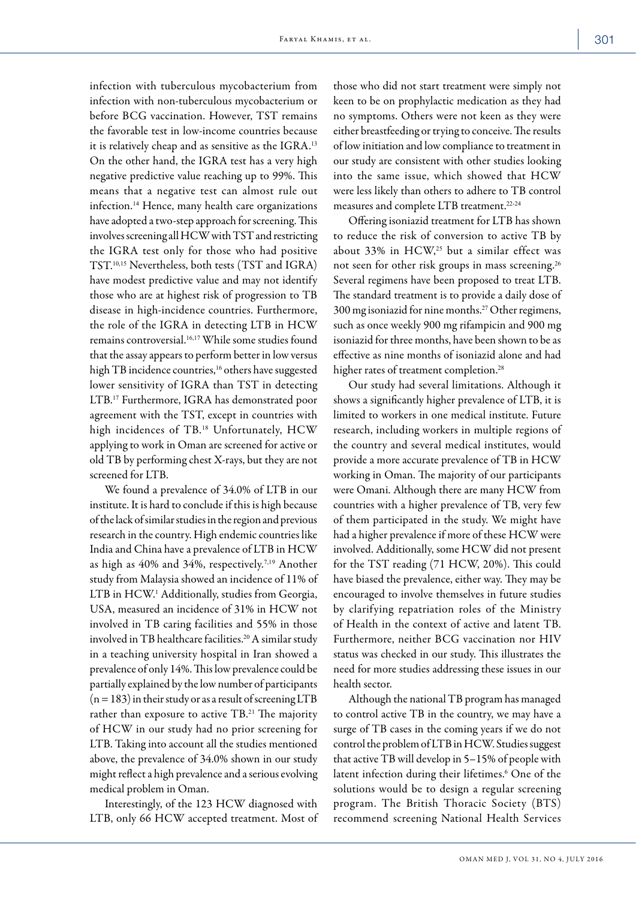infection with tuberculous mycobacterium from infection with non-tuberculous mycobacterium or before BCG vaccination. However, TST remains the favorable test in low-income countries because it is relatively cheap and as sensitive as the IGRA.<sup>13</sup> On the other hand, the IGRA test has a very high negative predictive value reaching up to 99%. This means that a negative test can almost rule out infection.14 Hence, many health care organizations have adopted a two-step approach for screening. This involves screening all HCW with TST and restricting the IGRA test only for those who had positive TST.10,15 Nevertheless, both tests (TST and IGRA) have modest predictive value and may not identify those who are at highest risk of progression to TB disease in high-incidence countries. Furthermore, the role of the IGRA in detecting LTB in HCW remains controversial.<sup>16,17</sup> While some studies found that the assay appears to perform better in low versus high TB incidence countries,<sup>16</sup> others have suggested lower sensitivity of IGRA than TST in detecting LTB.17 Furthermore, IGRA has demonstrated poor agreement with the TST, except in countries with high incidences of TB.<sup>18</sup> Unfortunately, HCW applying to work in Oman are screened for active or old TB by performing chest X-rays, but they are not screened for LTB.

We found a prevalence of 34.0% of LTB in our institute. It is hard to conclude if this is high because of the lack of similar studies in the region and previous research in the country. High endemic countries like India and China have a prevalence of LTB in HCW as high as 40% and 34%, respectively.7,19 Another study from Malaysia showed an incidence of 11% of LTB in HCW.<sup>1</sup> Additionally, studies from Georgia, USA, measured an incidence of 31% in HCW not involved in TB caring facilities and 55% in those involved in TB healthcare facilities.<sup>20</sup> A similar study in a teaching university hospital in Iran showed a prevalence of only 14%. This low prevalence could be partially explained by the low number of participants  $(n = 183)$  in their study or as a result of screening LTB rather than exposure to active TB.<sup>21</sup> The majority of HCW in our study had no prior screening for LTB. Taking into account all the studies mentioned above, the prevalence of 34.0% shown in our study might reflect a high prevalence and a serious evolving medical problem in Oman.

Interestingly, of the 123 HCW diagnosed with LTB, only 66 HCW accepted treatment. Most of

those who did not start treatment were simply not keen to be on prophylactic medication as they had no symptoms. Others were not keen as they were either breastfeeding or trying to conceive. The results of low initiation and low compliance to treatment in our study are consistent with other studies looking into the same issue, which showed that HCW were less likely than others to adhere to TB control measures and complete LTB treatment.22-24

Offering isoniazid treatment for LTB has shown to reduce the risk of conversion to active TB by about 33% in HCW,<sup>25</sup> but a similar effect was not seen for other risk groups in mass screening.<sup>26</sup> Several regimens have been proposed to treat LTB. The standard treatment is to provide a daily dose of 300 mg isoniazid for nine months.27 Other regimens, such as once weekly 900 mg rifampicin and 900 mg isoniazid for three months, have been shown to be as effective as nine months of isoniazid alone and had higher rates of treatment completion.<sup>28</sup>

Our study had several limitations. Although it shows a significantly higher prevalence of LTB, it is limited to workers in one medical institute. Future research, including workers in multiple regions of the country and several medical institutes, would provide a more accurate prevalence of TB in HCW working in Oman. The majority of our participants were Omani. Although there are many HCW from countries with a higher prevalence of TB, very few of them participated in the study. We might have had a higher prevalence if more of these HCW were involved. Additionally, some HCW did not present for the TST reading (71 HCW, 20%). This could have biased the prevalence, either way. They may be encouraged to involve themselves in future studies by clarifying repatriation roles of the Ministry of Health in the context of active and latent TB. Furthermore, neither BCG vaccination nor HIV status was checked in our study. This illustrates the need for more studies addressing these issues in our health sector.

Although the national TB program has managed to control active TB in the country, we may have a surge of TB cases in the coming years if we do not control the problem of LTB in HCW. Studies suggest that active TB will develop in 5–15% of people with latent infection during their lifetimes.<sup>6</sup> One of the solutions would be to design a regular screening program. The British Thoracic Society (BTS) recommend screening National Health Services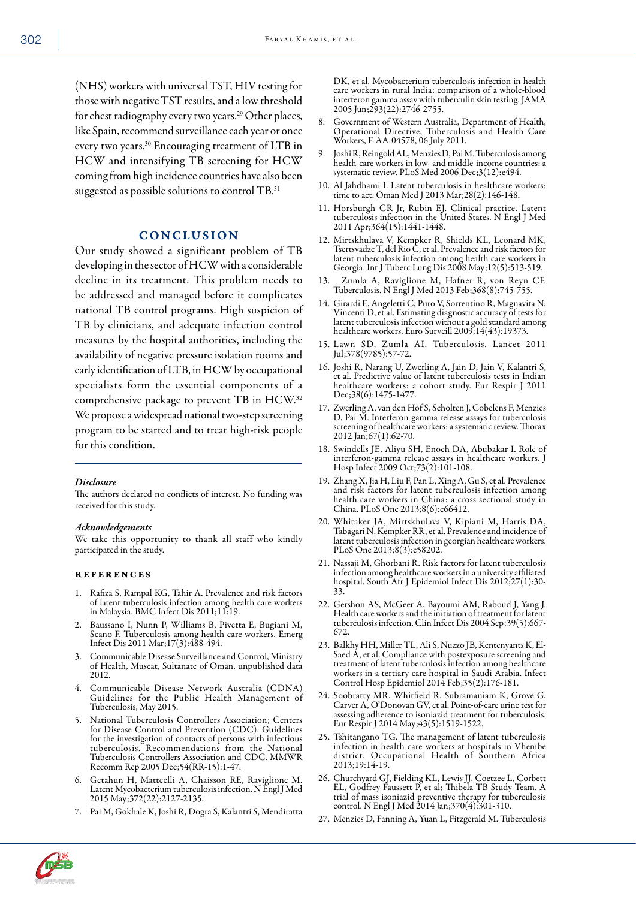(NHS) workers with universal TST, HIV testing for those with negative TST results, and a low threshold for chest radiography every two years.29 Other places, like Spain, recommend surveillance each year or once every two years.30 Encouraging treatment of LTB in HCW and intensifying TB screening for HCW coming from high incidence countries have also been suggested as possible solutions to control TB.<sup>31</sup>

## CONCLUSION

Our study showed a significant problem of TB developing in the sector of HCW with a considerable decline in its treatment. This problem needs to be addressed and managed before it complicates national TB control programs. High suspicion of TB by clinicians, and adequate infection control measures by the hospital authorities, including the availability of negative pressure isolation rooms and early identification of LTB, in HCW by occupational specialists form the essential components of a comprehensive package to prevent TB in HCW.<sup>32</sup> We propose a widespread national two-step screening program to be started and to treat high-risk people for this condition.

#### *Disclosure*

The authors declared no conflicts of interest. No funding was received for this study.

#### *Acknowledgements*

We take this opportunity to thank all staff who kindly participated in the study.

#### references

- 1. Rafiza S, Rampal KG, Tahir A. Prevalence and risk factors of latent tuberculosis infection among health care workers in Malaysia. BMC Infect Dis 2011;11:19.
- 2. Baussano I, Nunn P, Williams B, Pivetta E, Bugiani M, Scano F. Tuberculosis among health care workers. Emerg Infect Dis 2011 Mar;17(3):488-494.
- 3. Communicable Disease Surveillance and Control, Ministry of Health, Muscat, Sultanate of Oman, unpublished data 2012.
- 4. Communicable Disease Network Australia (CDNA) Guidelines for the Public Health Management of Tuberculosis, May 2015.
- 5. National Tuberculosis Controllers Association; Centers for Disease Control and Prevention (CDC). Guidelines for the investigation of contacts of persons with infectious tuberculosis. Recommendations from the National Tuberculosis Controllers Association and CDC. MMWR Recomm Rep 2005 Dec;54(RR-15):1-47.
- 6. Getahun H, Matteelli A, Chaisson RE, Raviglione M. Latent Mycobacterium tuberculosis infection. N Engl J Med 2015 May;372(22):2127-2135.
- 7. Pai M, Gokhale K, Joshi R, Dogra S, Kalantri S, Mendiratta

DK, et al. Mycobacterium tuberculosis infection in health care workers in rural India: comparison of a whole-blood interferon gamma assay with tuberculin skin testing. JAMA 2005 Jun;293(22):2746-2755.

- 8. Government of Western Australia, Department of Health, Operational Directive, Tuberculosis and Health Care Workers, F-AA-04578, 06 July 2011.
- 9. Joshi R, Reingold AL, Menzies D, Pai M. Tuberculosis among health-care workers in low- and middle-income countries: a systematic review. PLoS Med 2006 Dec;3(12):e494.
- 10. Al Jahdhami I. Latent tuberculosis in healthcare workers: time to act. Oman Med J 2013 Mar;28(2):146-148.
- 11. Horsburgh CR Jr, Rubin EJ. Clinical practice. Latent tuberculosis infection in the United States. N Engl J Med 2011 Apr;364(15):1441-1448.
- 12. Mirtskhulava V, Kempker R, Shields KL, Leonard MK, Tsertsvadze T, del Rio C, et al. Prevalence and risk factors for latent tuberculosis infection among health care workers in Georgia. Int J Tuberc Lung Dis 2008 May;12(5):513-519.
- 13. Zumla A, Raviglione M, Hafner R, von Reyn CF. Tuberculosis. N Engl J Med 2013 Feb;368(8):745-755.
- 14. Girardi E, Angeletti C, Puro V, Sorrentino R, Magnavita N, Vincenti D, et al. Estimating diagnostic accuracy of tests for latent tuberculosis infection without a gold standard among healthcare workers. Euro Surveill 2009;14(43):19373.
- 15. Lawn SD, Zumla AI. Tuberculosis. Lancet 2011 Jul;378(9785):57-72.
- 16. Joshi R, Narang U, Zwerling A, Jain D, Jain V, Kalantri S, et al. Predictive value of latent tuberculosis tests in Indian healthcare workers: a cohort study. Eur Respir J 2011 Dec;38(6):1475-1477.
- 17. Zwerling A, van den Hof S, Scholten J, Cobelens F, Menzies D, Pai M. Interferon-gamma release assays for tuberculosis screening of healthcare workers: a systematic review. Thorax 2012 Jan;67(1):62-70.
- 18. Swindells JE, Aliyu SH, Enoch DA, Abubakar I. Role of interferon-gamma release assays in healthcare workers. J Hosp Infect 2009 Oct;73(2):101-108.
- 19. Zhang X, Jia H, Liu F, Pan L, Xing A, Gu S, et al. Prevalence and risk factors for latent tuberculosis infection among health care workers in China: a cross-sectional study in China. PLoS One 2013;8(6):e66412.
- 20. Whitaker JA, Mirtskhulava V, Kipiani M, Harris DA, Tabagari N, Kempker RR, et al. Prevalence and incidence of latent tuberculosis infection in georgian healthcare workers. PLoS One 2013;8(3):e58202.
- 21. Nassaji M, Ghorbani R. Risk factors for latent tuberculosis infection among healthcare workers in a university affiliated hospital. South Afr J Epidemiol Infect Dis 2012;27(1):30- 33.
- 22. Gershon AS, McGeer A, Bayoumi AM, Raboud J, Yang J. Health care workers and the initiation of treatment for latent tuberculosis infection. Clin Infect Dis 2004 Sep;39(5):667- 672.
- 23. Balkhy HH, Miller TL, Ali S, Nuzzo JB, Kentenyants K, El-Saed A, et al. Compliance with postexposure screening and treatment of latent tuberculosis infection among healthcare workers in a tertiary care hospital in Saudi Arabia. Infect Control Hosp Epidemiol 2014 Feb;35(2):176-181.
- 24. Soobratty MR, Whitfield R, Subramaniam K, Grove G, Carver A, O'Donovan GV, et al. Point-of-care urine test for assessing adherence to isoniazid treatment for tuberculosis. Eur Respir J 2014 May;43(5):1519-1522.
- 25. Tshitangano TG. The management of latent tuberculosis infection in health care workers at hospitals in Vhembe district. Occupational Health of Southern Africa 2013;19:14-19.
- 26. Churchyard GJ, Fielding KL, Lewis JJ, Coetzee L, Corbett EL, Godfrey-Faussett P, et al; Thibela TB Study Team. A trial of mass isoniazid preventive therapy for tuberculosis control. N Engl J Med 2014 Jan;370(4):301-310.
- 27. Menzies D, Fanning A, Yuan L, Fitzgerald M. Tuberculosis